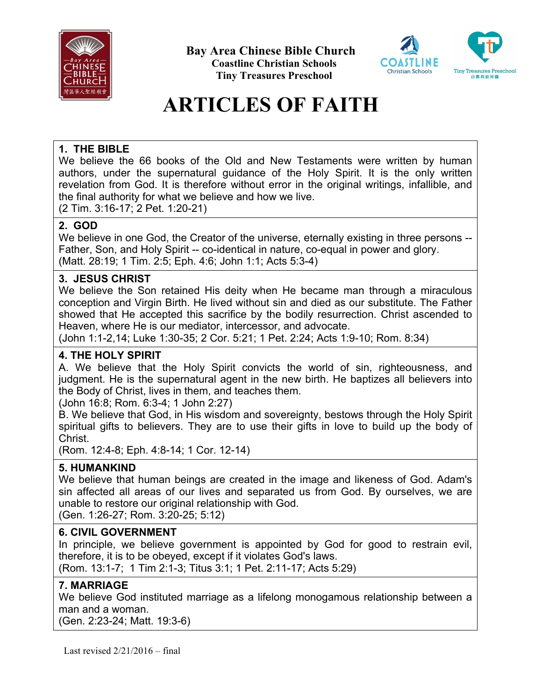

**Bay Area Chinese Bible Church Coastline Christian Schools Tiny Treasures Preschool** 



# **ARTICLES OF FAITH**

# **1. THE BIBLE**

We believe the 66 books of the Old and New Testaments were written by human authors, under the supernatural guidance of the Holy Spirit. It is the only written revelation from God. It is therefore without error in the original writings, infallible, and the final authority for what we believe and how we live.

(2 Tim. 3:16-17; 2 Pet. 1:20-21)

# **2. GOD**

We believe in one God, the Creator of the universe, eternally existing in three persons -- Father, Son, and Holy Spirit -- co-identical in nature, co-equal in power and glory. (Matt. 28:19; 1 Tim. 2:5; Eph. 4:6; John 1:1; Acts 5:3-4)

## **3. JESUS CHRIST**

We believe the Son retained His deity when He became man through a miraculous conception and Virgin Birth. He lived without sin and died as our substitute. The Father showed that He accepted this sacrifice by the bodily resurrection. Christ ascended to Heaven, where He is our mediator, intercessor, and advocate.

(John 1:1-2,14; Luke 1:30-35; 2 Cor. 5:21; 1 Pet. 2:24; Acts 1:9-10; Rom. 8:34)

# **4. THE HOLY SPIRIT**

A. We believe that the Holy Spirit convicts the world of sin, righteousness, and judgment. He is the supernatural agent in the new birth. He baptizes all believers into the Body of Christ, lives in them, and teaches them.

(John 16:8; Rom. 6:3-4; 1 John 2:27)

B. We believe that God, in His wisdom and sovereignty, bestows through the Holy Spirit spiritual gifts to believers. They are to use their gifts in love to build up the body of Christ.

(Rom. 12:4-8; Eph. 4:8-14; 1 Cor. 12-14)

# **5. HUMANKIND**

We believe that human beings are created in the image and likeness of God. Adam's sin affected all areas of our lives and separated us from God. By ourselves, we are unable to restore our original relationship with God.

(Gen. 1:26-27; Rom. 3:20-25; 5:12)

## **6. CIVIL GOVERNMENT**

In principle, we believe government is appointed by God for good to restrain evil, therefore, it is to be obeyed, except if it violates God's laws.

(Rom. 13:1-7; 1 Tim 2:1-3; Titus 3:1; 1 Pet. 2:11-17; Acts 5:29)

# **7. MARRIAGE**

We believe God instituted marriage as a lifelong monogamous relationship between a man and a woman.

(Gen. 2:23-24; Matt. 19:3-6)